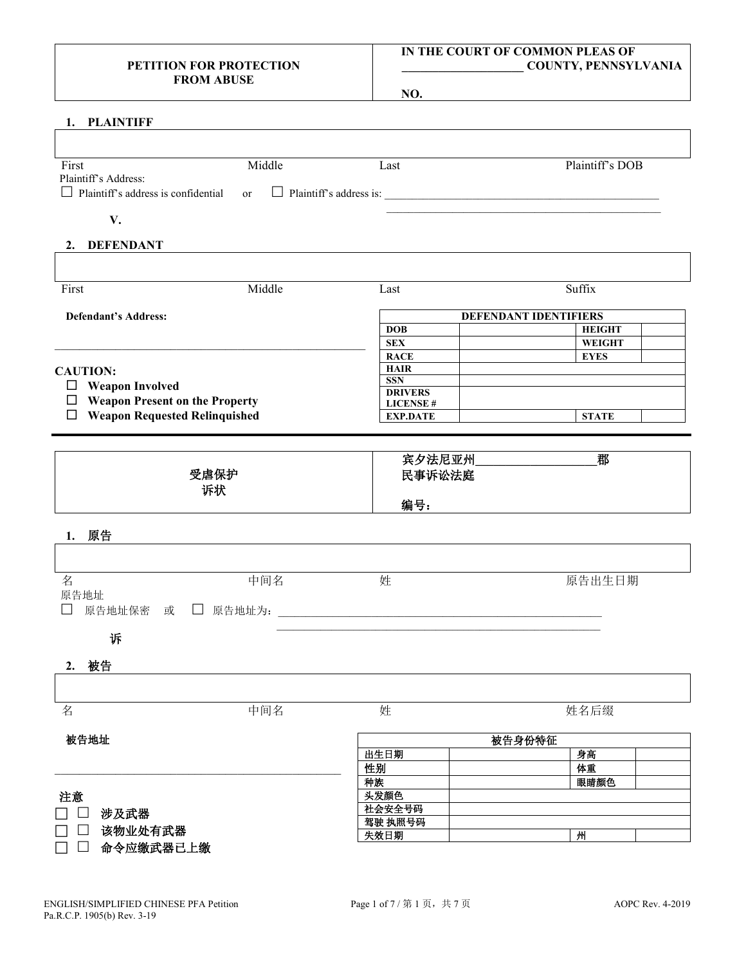### **PETITION FOR PROTECTION FROM ABUSE**

### **IN THE COURT OF COMMON PLEAS OF \_\_\_\_\_\_\_\_\_\_\_\_\_\_\_\_\_\_\_\_ COUNTY, PENNSYLVANIA**

**NO.**

| First                                 | Middle    | Last                               | Plaintiff's DOB                |  |
|---------------------------------------|-----------|------------------------------------|--------------------------------|--|
| Plaintiff's Address:                  |           |                                    |                                |  |
| Plaintiff's address is confidential   | <b>or</b> |                                    |                                |  |
| V.                                    |           |                                    |                                |  |
| 2. DEFENDANT                          |           |                                    |                                |  |
|                                       |           |                                    |                                |  |
|                                       |           |                                    |                                |  |
| First                                 | Middle    | Last                               | Suffix                         |  |
|                                       |           |                                    |                                |  |
| <b>Defendant's Address:</b>           |           |                                    | DEFENDANT IDENTIFIERS          |  |
|                                       |           | <b>DOB</b><br><b>SEX</b>           | <b>HEIGHT</b><br><b>WEIGHT</b> |  |
|                                       |           | <b>RACE</b>                        | <b>EYES</b>                    |  |
| <b>CAUTION:</b>                       |           | <b>HAIR</b>                        |                                |  |
| $\Box$ Weapon Involved                |           | <b>SSN</b>                         |                                |  |
| $\Box$ Weapon Present on the Property |           | <b>DRIVERS</b>                     |                                |  |
|                                       |           | <b>LICENSE#</b><br><b>EXP.DATE</b> | <b>STATE</b>                   |  |
| $\Box$ Weapon Requested Relinquished  |           |                                    |                                |  |
|                                       |           |                                    |                                |  |
|                                       |           | 宾夕法尼亚州                             | 郡                              |  |
|                                       | 受虐保护      | 民事诉讼法庭                             |                                |  |
|                                       | 诉状        |                                    |                                |  |
|                                       |           | 编号:                                |                                |  |
|                                       |           |                                    |                                |  |
| 1. 原告                                 |           |                                    |                                |  |
|                                       |           |                                    |                                |  |
| 名                                     | 中间名       | 姓                                  | 原告出生日期                         |  |
| 原告地址                                  |           |                                    |                                |  |
|                                       |           |                                    |                                |  |
|                                       |           |                                    |                                |  |
| 诉                                     |           |                                    |                                |  |
|                                       |           |                                    |                                |  |
| 2. 被告                                 |           |                                    |                                |  |
|                                       |           |                                    |                                |  |
|                                       |           |                                    |                                |  |
|                                       | 中间名       | 姓                                  | 姓名后缀                           |  |
|                                       |           |                                    |                                |  |
| 被告地址                                  |           |                                    | 被告身份特征                         |  |
|                                       |           | 出生日期                               | 身高<br>体重                       |  |
|                                       |           | 性别<br>种族                           | 眼睛颜色                           |  |
|                                       |           | 头发颜色                               |                                |  |
| 名<br>注意                               |           | 社会安全号码                             |                                |  |
| 涉及武器<br>该物业处有武器                       |           | 驾驶 执照号码<br>失效日期                    | 州                              |  |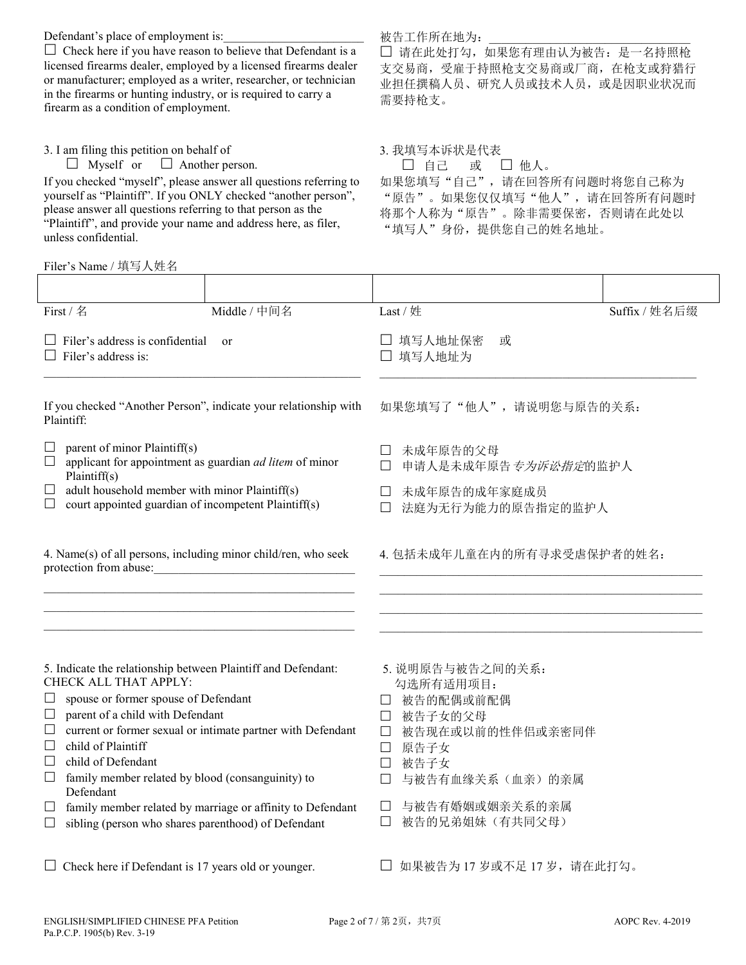Defendant's place of employment is:

 $\Box$  Check here if you have reason to believe that Defendant is a licensed firearms dealer, employed by a licensed firearms dealer or manufacturer; employed as a writer, researcher, or technician in the firearms or hunting industry, or is required to carry a firearm as a condition of employment.

3. I am filing this petition on behalf of

 $\Box$  Myself or  $\Box$  Another person.

If you checked "myself", please answer all questions referring to yourself as "Plaintiff". If you ONLY checked "another person", please answer all questions referring to that person as the "Plaintiff", and provide your name and address here, as filer, unless confidential.

### Filer's Name / 填写人姓名

#### First / 名 The Middle / 中间名 The Last / 姓 The Suffix / 姓名后缀  $\Box$  Filer's address is confidential or  $\Box$  Filer's address is: \_\_\_\_\_\_\_\_\_\_\_\_\_\_\_\_\_\_\_\_\_\_\_\_\_\_\_\_\_\_\_\_\_\_\_\_\_\_\_\_\_\_\_\_\_\_\_\_\_\_\_\_ 填写人地址保密 或 填写人地址为 \_\_\_\_\_\_\_\_\_\_\_\_\_\_\_\_\_\_\_\_\_\_\_\_\_\_\_\_\_\_\_\_\_\_\_\_\_\_\_\_\_\_\_\_\_\_\_\_\_\_\_\_ If you checked "Another Person", indicate your relationship with Plaintiff:  $\Box$  parent of minor Plaintiff(s) applicant for appointment as guardian *ad litem* of minor Plaintiff(s)  $\Box$  adult household member with minor Plaintiff(s)  $\Box$  court appointed guardian of incompetent Plaintiff(s) 如果您填写了"他人",请说明您与原告的关系: 未成年原告的父母 □ 申请人是未成年原告 专为诉讼指定的监护人 未成年原告的成年家庭成员 法庭为无行为能力的原告指定的监护人 4. Name(s) of all persons, including minor child/ren, who seek protection from abuse:  $\mathcal{L}_\text{max} = \mathcal{L}_\text{max} = \mathcal{L}_\text{max} = \mathcal{L}_\text{max} = \mathcal{L}_\text{max} = \mathcal{L}_\text{max} = \mathcal{L}_\text{max} = \mathcal{L}_\text{max} = \mathcal{L}_\text{max} = \mathcal{L}_\text{max} = \mathcal{L}_\text{max} = \mathcal{L}_\text{max} = \mathcal{L}_\text{max} = \mathcal{L}_\text{max} = \mathcal{L}_\text{max} = \mathcal{L}_\text{max} = \mathcal{L}_\text{max} = \mathcal{L}_\text{max} = \mathcal{$ \_\_\_\_\_\_\_\_\_\_\_\_\_\_\_\_\_\_\_\_\_\_\_\_\_\_\_\_\_\_\_\_\_\_\_\_\_\_\_\_\_\_\_\_\_\_\_\_\_\_\_ \_\_\_\_\_\_\_\_\_\_\_\_\_\_\_\_\_\_\_\_\_\_\_\_\_\_\_\_\_\_\_\_\_\_\_\_\_\_\_\_\_\_\_\_\_\_\_\_\_\_\_ 4. 包括未成年儿童在内的所有寻求受虐保护者的姓名: \_\_\_\_\_\_\_\_\_\_\_\_\_\_\_\_\_\_\_\_\_\_\_\_\_\_\_\_\_\_\_\_\_\_\_\_\_\_\_\_\_\_\_\_\_\_\_\_\_\_\_\_\_  $\mathcal{L}_\text{max}$  and the set of the set of the set of the set of the set of the set of the set of the set of the set of  $\mathcal{L}_\text{max}$  and the set of the set of the set of the set of the set of the set of the set of the set of the set of \_\_\_\_\_\_\_\_\_\_\_\_\_\_\_\_\_\_\_\_\_\_\_\_\_\_\_\_\_\_\_\_\_\_\_\_\_\_\_\_\_\_\_\_\_\_\_\_\_\_\_\_\_ 5. Indicate the relationship between Plaintiff and Defendant: CHECK ALL THAT APPLY:  $\Box$  spouse or former spouse of Defendant  $\Box$  parent of a child with Defendant  $\Box$  current or former sexual or intimate partner with Defendant  $\Box$  child of Plaintiff  $\Box$  child of Defendant  $\Box$  family member related by blood (consanguinity) to Defendant  $\Box$  family member related by marriage or affinity to Defendant  $\Box$  sibling (person who shares parenthood) of Defendant 5. 说明原告与被告之间的关系: 勾选所有适用项目: 被告的配偶或前配偶 被告子女的父母 被告现在或以前的性伴侣或亲密同伴 原告子女 被告子女 与被告有血缘关系(血亲)的亲属 与被告有婚姻或姻亲关系的亲属 被告的兄弟姐妹(有共同父母) □ Check here if Defendant is 17 years old or younger. □ 如果被告为 17 岁或不足 17 岁, 请在此打勾。

被告工作所在地为:

□ 请在此处打勾,如果您有理由认为被告: 是一名持照枪 支交易商,受雇于持照枪支交易商或厂商,在枪支或狩猎行 业担任撰稿人员、研究人员或技术人员,或是因职业状况而 需要持枪支。

3. 我填写本诉状是代表

□ 自己 或 □ 他人。 如果您填写"自己",请在回答所有问题时将您自己称为 "原告"。如果您仅仅填写"他人",请在回答所有问题时 将那个人称为"原告"。除非需要保密,否则请在此处以 "填写人"身份,提供您自己的姓名地址。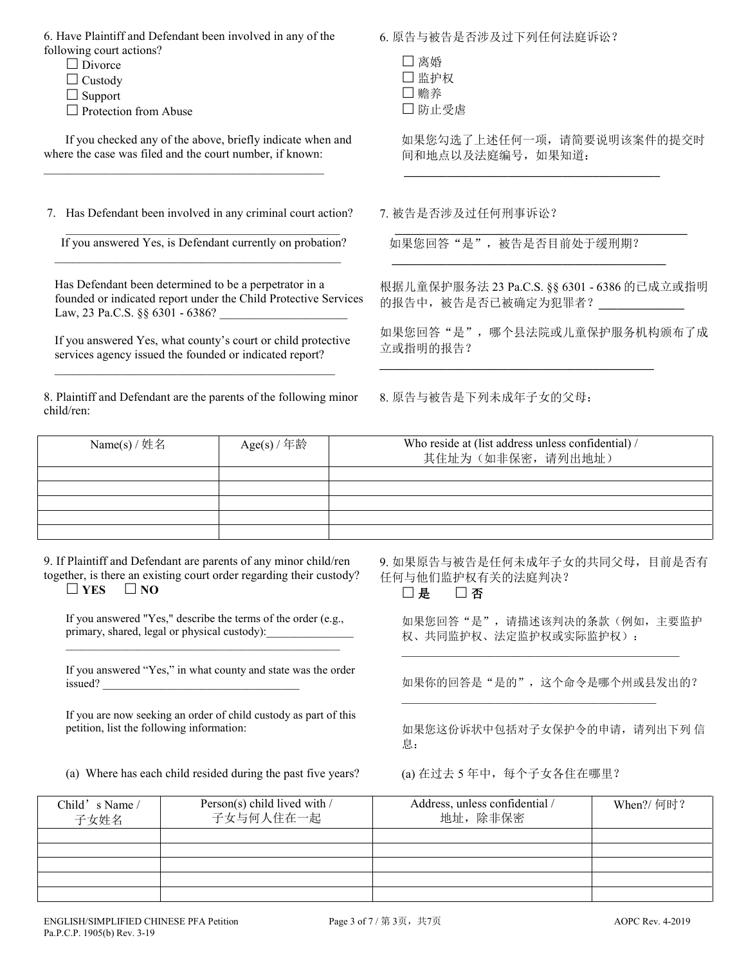6. Have Plaintiff and Defendant been involved in any of the following court actions?

- $\Box$  Divorce
- $\Box$  Custody
- $\Box$  Support

 $\Box$  Protection from Abuse

 If you checked any of the above, briefly indicate when and where the case was filed and the court number, if known:

 $\mathcal{L}_\text{max}$  and  $\mathcal{L}_\text{max}$  and  $\mathcal{L}_\text{max}$  and  $\mathcal{L}_\text{max}$  and  $\mathcal{L}_\text{max}$ 

7. Has Defendant been involved in any criminal court action? 7. 被告是否涉及过任何刑事诉讼?

\_\_\_\_\_\_\_\_\_\_\_\_\_\_\_\_\_\_\_\_\_\_\_\_\_\_\_\_\_\_\_\_\_\_\_\_\_\_\_\_\_\_\_\_\_ If you answered Yes, is Defendant currently on probation?  $\mathcal{L}_\text{max}$  and  $\mathcal{L}_\text{max}$  and  $\mathcal{L}_\text{max}$  and  $\mathcal{L}_\text{max}$  and  $\mathcal{L}_\text{max}$ 

Has Defendant been determined to be a perpetrator in a founded or indicated report under the Child Protective Services Law, 23 Pa.C.S. §§ 6301 - 6386?

If you answered Yes, what county's court or child protective services agency issued the founded or indicated report?

 $\mathcal{L}_\mathcal{L}$  , and the set of the set of the set of the set of the set of the set of the set of the set of the set of the set of the set of the set of the set of the set of the set of the set of the set of the set of th

8. Plaintiff and Defendant are the parents of the following minor child/ren:

6. 原告与被告是否涉及过下列任何法庭诉讼?

| □离婚    |
|--------|
| 凵 监护权  |
| □ 赡养   |
| □ 防止受虐 |

 如果您勾选了上述任何一项,请简要说明该案件的提交时 间和地点以及法庭编号,如果知道:

如果您回答"是",被告是否目前处于缓刑期?  **\_\_\_\_\_\_\_\_\_\_\_\_\_\_\_\_\_\_\_\_\_\_\_\_\_\_\_\_\_\_\_\_\_\_\_\_\_\_\_\_\_\_\_\_\_**

**\_\_\_\_\_\_\_\_\_\_\_\_\_\_\_\_\_\_\_\_\_\_\_\_\_\_\_\_\_\_\_\_\_\_\_\_\_\_\_\_\_\_\_\_\_**

 **\_\_\_\_\_\_\_\_\_\_\_\_\_\_\_\_\_\_\_\_\_\_\_\_\_\_\_\_\_\_\_\_\_\_\_\_\_\_\_\_\_\_\_\_\_\_\_\_**

 **\_\_\_\_\_\_\_\_\_\_\_\_\_\_\_\_\_\_\_\_\_\_\_\_\_\_\_\_\_\_\_\_\_\_\_\_\_\_\_\_\_\_**

根据儿童保护服务法 23 Pa.C.S. §§ 6301 - 6386 的已成立或指明 的报告中,被告是否已被确定为犯罪者?**\_\_\_\_\_\_\_\_\_\_\_\_\_\_**

如果您回答"是",哪个县法院或儿童保护服务机构颁布了成 立或指明的报告?

8. 原告与被告是下列未成年子女的父母:

| Name(s) / 姓名 | Age(s) / 年龄 | Who reside at (list address unless confidential) /<br>其住址为(如非保密,请列出地址) |
|--------------|-------------|------------------------------------------------------------------------|
|              |             |                                                                        |
|              |             |                                                                        |
|              |             |                                                                        |
|              |             |                                                                        |
|              |             |                                                                        |

9. If Plaintiff and Defendant are parents of any minor child/ren together, is there an existing court order regarding their custody?  $\Box$  YES  $\Box$  NO

If you answered "Yes," describe the terms of the order (e.g., primary, shared, legal or physical custody):

 $\mathcal{L}_\text{max}$  and  $\mathcal{L}_\text{max}$  and  $\mathcal{L}_\text{max}$  and  $\mathcal{L}_\text{max}$  and  $\mathcal{L}_\text{max}$ 

If you answered "Yes," in what county and state was the order issued?

If you are now seeking an order of child custody as part of this petition, list the following information:

(a) Where has each child resided during the past five years? (a) 在过去 5 年中, 每个子女各住在哪里?

9. 如果原告与被告是任何未成年子女的共同父母,目前是否有 任何与他们监护权有关的法庭判决?

□是 □否

如果您回答"是",请描述该判决的条款(例如,主要监护 权、共同监护权、法定监护权或实际监护权):

如果你的回答是"是的",这个命令是哪个州或县发出的?

\_\_\_\_\_\_\_\_\_\_\_\_\_\_\_\_\_\_\_\_\_\_\_\_\_\_\_\_\_\_\_\_\_\_\_\_\_\_\_\_\_\_\_\_\_\_\_\_

\_\_\_\_\_\_\_\_\_\_\_\_\_\_\_\_\_\_\_\_\_\_\_\_\_\_\_\_\_\_\_\_\_\_\_\_\_\_\_\_\_\_\_\_

如果您这份诉状中包括对子女保护令的申请,请列出下列 信 息:

| Child's Name /<br>子女姓名 | Person(s) child lived with /<br>子女与何人住在一起 | Address, unless confidential /<br>地址, 除非保密 | When?/ 何时? |
|------------------------|-------------------------------------------|--------------------------------------------|------------|
|                        |                                           |                                            |            |
|                        |                                           |                                            |            |
|                        |                                           |                                            |            |
|                        |                                           |                                            |            |
|                        |                                           |                                            |            |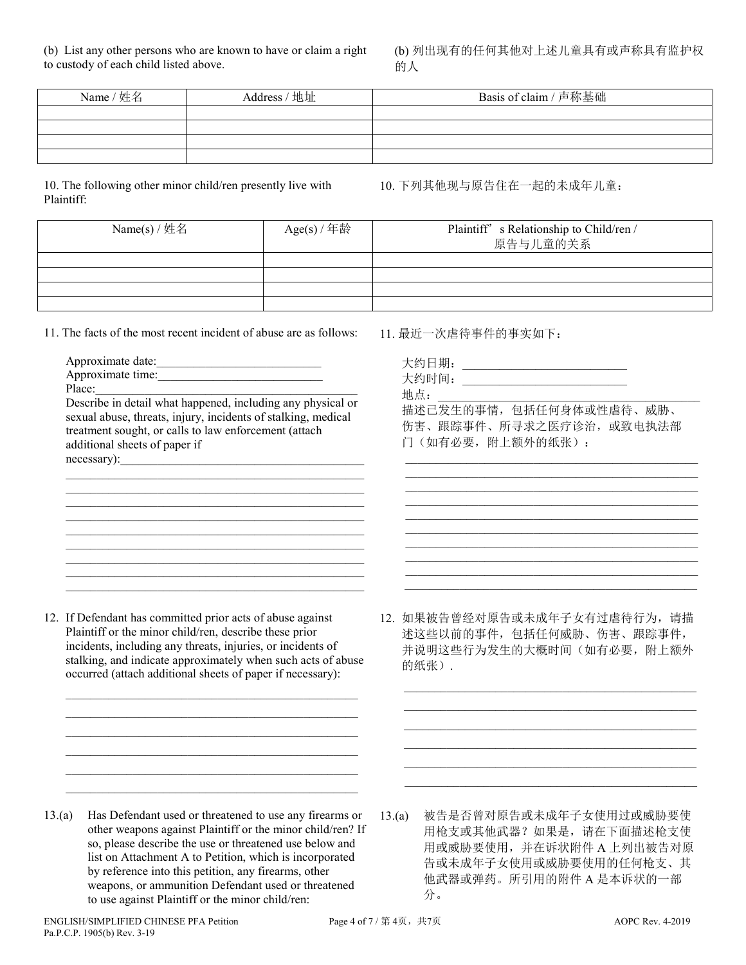(b) List any other persons who are known to have or claim a right to custody of each child listed above.

(b) 列出现有的任何其他对上述儿童具有或声称具有监护权 的人

| Name / 姓名 | Address / 地址 | Basis of claim / 声称基础 |
|-----------|--------------|-----------------------|
|           |              |                       |
|           |              |                       |
|           |              |                       |
|           |              |                       |

10. The following other minor child/ren presently live with Plaintiff:

10. 下列其他现与原告住在一起的未成年儿童:

| Name(s) / 姓名 | Age(s) / 年龄 | Plaintiff' s Relationship to Child/ren /<br>原告与儿童的关系 |
|--------------|-------------|------------------------------------------------------|
|              |             |                                                      |
|              |             |                                                      |
|              |             |                                                      |
|              |             |                                                      |

11. The facts of the most recent incident of abuse are as follows:

| Approximate date:                                             |
|---------------------------------------------------------------|
| Approximate time:                                             |
| Place:                                                        |
| Describe in detail what happened, including any physical or   |
| sexual abuse, threats, injury, incidents of stalking, medical |
| treatment sought, or calls to law enforcement (attach         |
| additional sheets of paper if                                 |
| necessary):                                                   |
|                                                               |

 $\mathcal{L}_\text{max}$  and  $\mathcal{L}_\text{max}$  and  $\mathcal{L}_\text{max}$  and  $\mathcal{L}_\text{max}$  and  $\mathcal{L}_\text{max}$ \_\_\_\_\_\_\_\_\_\_\_\_\_\_\_\_\_\_\_\_\_\_\_\_\_\_\_\_\_\_\_\_\_\_\_\_\_\_\_\_\_\_\_\_\_\_\_\_\_  $\mathcal{L}_\text{max}$  and  $\mathcal{L}_\text{max}$  and  $\mathcal{L}_\text{max}$  and  $\mathcal{L}_\text{max}$  and  $\mathcal{L}_\text{max}$  $\mathcal{L}_\text{max}$  and  $\mathcal{L}_\text{max}$  and  $\mathcal{L}_\text{max}$  and  $\mathcal{L}_\text{max}$  and  $\mathcal{L}_\text{max}$ \_\_\_\_\_\_\_\_\_\_\_\_\_\_\_\_\_\_\_\_\_\_\_\_\_\_\_\_\_\_\_\_\_\_\_\_\_\_\_\_\_\_\_\_\_\_\_\_\_ \_\_\_\_\_\_\_\_\_\_\_\_\_\_\_\_\_\_\_\_\_\_\_\_\_\_\_\_\_\_\_\_\_\_\_\_\_\_\_\_\_\_\_\_\_\_\_\_\_  $\mathcal{L}_\text{max}$  and  $\mathcal{L}_\text{max}$  and  $\mathcal{L}_\text{max}$  and  $\mathcal{L}_\text{max}$  and  $\mathcal{L}_\text{max}$ \_\_\_\_\_\_\_\_\_\_\_\_\_\_\_\_\_\_\_\_\_\_\_\_\_\_\_\_\_\_\_\_\_\_\_\_\_\_\_\_\_\_\_\_\_\_\_\_\_

12. If Defendant has committed prior acts of abuse against Plaintiff or the minor child/ren, describe these prior incidents, including any threats, injuries, or incidents of stalking, and indicate approximately when such acts of abuse occurred (attach additional sheets of paper if necessary):  $\_$  . The contribution of the contribution of  $\mathcal{L}_\mathcal{A}$ \_\_\_\_\_\_\_\_\_\_\_\_\_\_\_\_\_\_\_\_\_\_\_\_\_\_\_\_\_\_\_\_\_\_\_\_\_\_\_\_\_\_\_\_\_\_\_\_ \_\_\_\_\_\_\_\_\_\_\_\_\_\_\_\_\_\_\_\_\_\_\_\_\_\_\_\_\_\_\_\_\_\_\_\_\_\_\_\_\_\_\_\_\_\_\_\_  $\_$  . The contribution of the contribution of  $\mathcal{L}_\mathcal{A}$  $\_$  . The contribution of the contribution of  $\mathcal{L}_\mathcal{A}$  $\mathcal{L}_\text{max}$  and  $\mathcal{L}_\text{max}$  and  $\mathcal{L}_\text{max}$  and  $\mathcal{L}_\text{max}$  and  $\mathcal{L}_\text{max}$ 

11. 最近一次虐待事件的事实如下:

| 大约日期:<br>大约时间:<br>地点:                                |
|------------------------------------------------------|
| 描述已发生的事情, 包括任何身体或性虐待、威胁、<br>伤害、跟踪事件、所寻求之医疗诊治, 或致电执法部 |
| 门(如有必要,附上额外的纸张):                                     |
|                                                      |
|                                                      |
|                                                      |
|                                                      |
|                                                      |

 $\mathcal{L}_\text{max}$  , and the set of the set of the set of the set of the set of the set of the set of the set of the set of the set of the set of the set of the set of the set of the set of the set of the set of the set of the

12. 如果被告曾经对原告或未成年子女有过虐待行为,请描 述这些以前的事件,包括任何威胁、伤害、跟踪事件, 并说明这些行为发生的大概时间(如有必要,附上额外 的纸张).

 $\overline{\phantom{a}}$  ,  $\overline{\phantom{a}}$  ,  $\overline{\phantom{a}}$  ,  $\overline{\phantom{a}}$  ,  $\overline{\phantom{a}}$  ,  $\overline{\phantom{a}}$  ,  $\overline{\phantom{a}}$  ,  $\overline{\phantom{a}}$  ,  $\overline{\phantom{a}}$  ,  $\overline{\phantom{a}}$  ,  $\overline{\phantom{a}}$  ,  $\overline{\phantom{a}}$  ,  $\overline{\phantom{a}}$  ,  $\overline{\phantom{a}}$  ,  $\overline{\phantom{a}}$  ,  $\overline{\phantom{a}}$  $\overline{\phantom{a}}$  ,  $\overline{\phantom{a}}$  ,  $\overline{\phantom{a}}$  ,  $\overline{\phantom{a}}$  ,  $\overline{\phantom{a}}$  ,  $\overline{\phantom{a}}$  ,  $\overline{\phantom{a}}$  ,  $\overline{\phantom{a}}$  ,  $\overline{\phantom{a}}$  ,  $\overline{\phantom{a}}$  ,  $\overline{\phantom{a}}$  ,  $\overline{\phantom{a}}$  ,  $\overline{\phantom{a}}$  ,  $\overline{\phantom{a}}$  ,  $\overline{\phantom{a}}$  ,  $\overline{\phantom{a}}$  $\mathcal{L}_\text{max} = \frac{1}{2} \sum_{i=1}^{n} \frac{1}{2} \sum_{i=1}^{n} \frac{1}{2} \sum_{i=1}^{n} \frac{1}{2} \sum_{i=1}^{n} \frac{1}{2} \sum_{i=1}^{n} \frac{1}{2} \sum_{i=1}^{n} \frac{1}{2} \sum_{i=1}^{n} \frac{1}{2} \sum_{i=1}^{n} \frac{1}{2} \sum_{i=1}^{n} \frac{1}{2} \sum_{i=1}^{n} \frac{1}{2} \sum_{i=1}^{n} \frac{1}{2} \sum_{i=1}^{n} \frac{1$  $\mathcal{L}_\text{max} = \frac{1}{2} \sum_{i=1}^{n} \frac{1}{2} \sum_{i=1}^{n} \frac{1}{2} \sum_{i=1}^{n} \frac{1}{2} \sum_{i=1}^{n} \frac{1}{2} \sum_{i=1}^{n} \frac{1}{2} \sum_{i=1}^{n} \frac{1}{2} \sum_{i=1}^{n} \frac{1}{2} \sum_{i=1}^{n} \frac{1}{2} \sum_{i=1}^{n} \frac{1}{2} \sum_{i=1}^{n} \frac{1}{2} \sum_{i=1}^{n} \frac{1}{2} \sum_{i=1}^{n} \frac{1$  $\overline{\phantom{a}}$  ,  $\overline{\phantom{a}}$  ,  $\overline{\phantom{a}}$  ,  $\overline{\phantom{a}}$  ,  $\overline{\phantom{a}}$  ,  $\overline{\phantom{a}}$  ,  $\overline{\phantom{a}}$  ,  $\overline{\phantom{a}}$  ,  $\overline{\phantom{a}}$  ,  $\overline{\phantom{a}}$  ,  $\overline{\phantom{a}}$  ,  $\overline{\phantom{a}}$  ,  $\overline{\phantom{a}}$  ,  $\overline{\phantom{a}}$  ,  $\overline{\phantom{a}}$  ,  $\overline{\phantom{a}}$  $\mathcal{L}_\text{max}$  , and the set of the set of the set of the set of the set of the set of the set of the set of the set of the set of the set of the set of the set of the set of the set of the set of the set of the set of the

- 13.(a) Has Defendant used or threatened to use any firearms or other weapons against Plaintiff or the minor child/ren? If so, please describe the use or threatened use below and list on Attachment A to Petition, which is incorporated by reference into this petition, any firearms, other weapons, or ammunition Defendant used or threatened to use against Plaintiff or the minor child/ren:
- 13.(a) 被告是否曾对原告或未成年子女使用过或威胁要使 用枪支或其他武器?如果是,请在下面描述枪支使 用或威胁要使用,并在诉状附件 A 上列出被告对原 告或未成年子女使用或威胁要使用的任何枪支、其 他武器或弹药。所引用的附件 A 是本诉状的一部 分。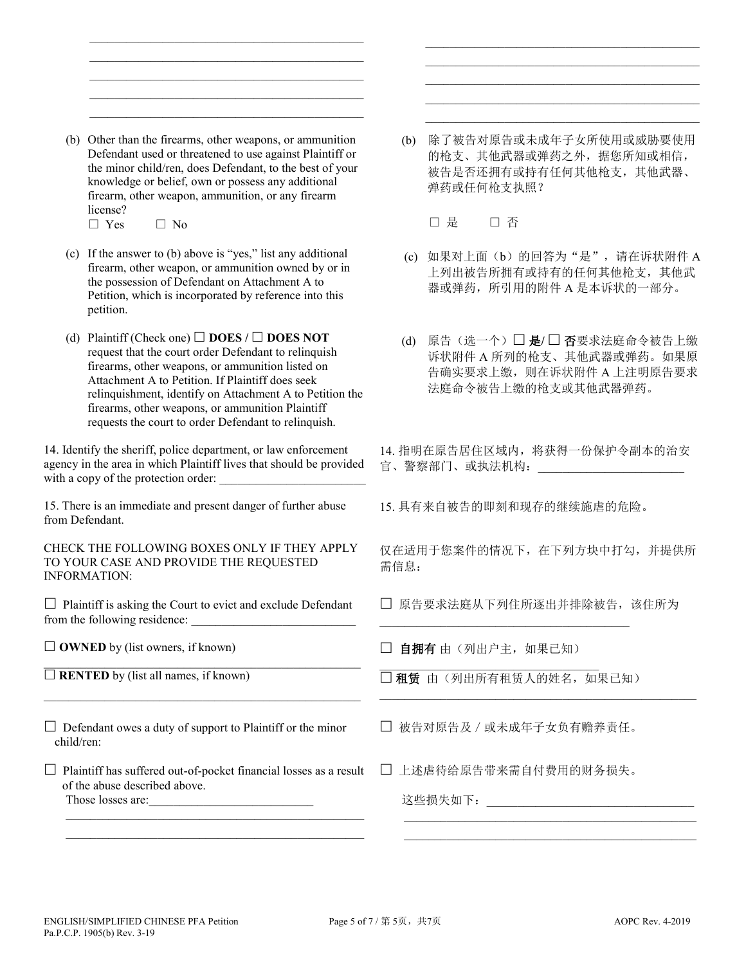(b) Other than the firearms, other weapons, or ammunition Defendant used or threatened to use against Plaintiff or the minor child/ren, does Defendant, to the best of your knowledge or belief, own or possess any additional firearm, other weapon, ammunition, or any firearm license?  $\Box$  Yes  $\Box$  No

 $\overline{\phantom{a}}$  ,  $\overline{\phantom{a}}$  ,  $\overline{\phantom{a}}$  ,  $\overline{\phantom{a}}$  ,  $\overline{\phantom{a}}$  ,  $\overline{\phantom{a}}$  ,  $\overline{\phantom{a}}$  ,  $\overline{\phantom{a}}$  ,  $\overline{\phantom{a}}$  ,  $\overline{\phantom{a}}$  ,  $\overline{\phantom{a}}$  ,  $\overline{\phantom{a}}$  ,  $\overline{\phantom{a}}$  ,  $\overline{\phantom{a}}$  ,  $\overline{\phantom{a}}$  ,  $\overline{\phantom{a}}$  $\mathcal{L}_\text{max} = \frac{1}{2} \sum_{i=1}^n \frac{1}{2} \sum_{i=1}^n \frac{1}{2} \sum_{i=1}^n \frac{1}{2} \sum_{i=1}^n \frac{1}{2} \sum_{i=1}^n \frac{1}{2} \sum_{i=1}^n \frac{1}{2} \sum_{i=1}^n \frac{1}{2} \sum_{i=1}^n \frac{1}{2} \sum_{i=1}^n \frac{1}{2} \sum_{i=1}^n \frac{1}{2} \sum_{i=1}^n \frac{1}{2} \sum_{i=1}^n \frac{1}{2} \sum_{i=1}^n$  $\mathcal{L}_\text{max} = \frac{1}{2} \sum_{i=1}^n \frac{1}{2} \sum_{i=1}^n \frac{1}{2} \sum_{i=1}^n \frac{1}{2} \sum_{i=1}^n \frac{1}{2} \sum_{i=1}^n \frac{1}{2} \sum_{i=1}^n \frac{1}{2} \sum_{i=1}^n \frac{1}{2} \sum_{i=1}^n \frac{1}{2} \sum_{i=1}^n \frac{1}{2} \sum_{i=1}^n \frac{1}{2} \sum_{i=1}^n \frac{1}{2} \sum_{i=1}^n \frac{1}{2} \sum_{i=1}^n$  $\overline{\phantom{a}}$  ,  $\overline{\phantom{a}}$  ,  $\overline{\phantom{a}}$  ,  $\overline{\phantom{a}}$  ,  $\overline{\phantom{a}}$  ,  $\overline{\phantom{a}}$  ,  $\overline{\phantom{a}}$  ,  $\overline{\phantom{a}}$  ,  $\overline{\phantom{a}}$  ,  $\overline{\phantom{a}}$  ,  $\overline{\phantom{a}}$  ,  $\overline{\phantom{a}}$  ,  $\overline{\phantom{a}}$  ,  $\overline{\phantom{a}}$  ,  $\overline{\phantom{a}}$  ,  $\overline{\phantom{a}}$  $\overline{\phantom{a}}$  ,  $\overline{\phantom{a}}$  ,  $\overline{\phantom{a}}$  ,  $\overline{\phantom{a}}$  ,  $\overline{\phantom{a}}$  ,  $\overline{\phantom{a}}$  ,  $\overline{\phantom{a}}$  ,  $\overline{\phantom{a}}$  ,  $\overline{\phantom{a}}$  ,  $\overline{\phantom{a}}$  ,  $\overline{\phantom{a}}$  ,  $\overline{\phantom{a}}$  ,  $\overline{\phantom{a}}$  ,  $\overline{\phantom{a}}$  ,  $\overline{\phantom{a}}$  ,  $\overline{\phantom{a}}$ 

- (c) If the answer to (b) above is "yes," list any additional firearm, other weapon, or ammunition owned by or in the possession of Defendant on Attachment A to Petition, which is incorporated by reference into this petition.
- (d) Plaintiff (Check one)  $\Box$  **DOES** /  $\Box$  **DOES NOT** request that the court order Defendant to relinquish firearms, other weapons, or ammunition listed on Attachment A to Petition. If Plaintiff does seek relinquishment, identify on Attachment A to Petition the firearms, other weapons, or ammunition Plaintiff requests the court to order Defendant to relinquish.

14. Identify the sheriff, police department, or law enforcement agency in the area in which Plaintiff lives that should be provided with a copy of the protection order:

15. There is an immediate and present danger of further abuse from Defendant.

CHECK THE FOLLOWING BOXES ONLY IF THEY APPLY TO YOUR CASE AND PROVIDE THE REQUESTED INFORMATION:

 $\Box$  Plaintiff is asking the Court to evict and exclude Defendant from the following residence:

 $\Box$  **OWNED** by (list owners, if known)

**\_\_\_\_\_\_\_\_\_\_\_\_\_\_\_\_\_\_\_\_\_\_\_\_\_\_\_\_\_\_\_\_\_\_\_\_\_\_\_\_\_\_\_\_\_\_\_\_\_\_\_\_**   $\Box$  **RENTED** by (list all names, if known)

 $\Box$  Defendant owes a duty of support to Plaintiff or the minor child/ren:

\_\_\_\_\_\_\_\_\_\_\_\_\_\_\_\_\_\_\_\_\_\_\_\_\_\_\_\_\_\_\_\_\_\_\_\_\_\_\_\_\_\_\_\_\_\_\_\_\_\_\_\_

 $\Box$  Plaintiff has suffered out-of-pocket financial losses as a result of the abuse described above. Those losses are:

\_\_\_\_\_\_\_\_\_\_\_\_\_\_\_\_\_\_\_\_\_\_\_\_\_\_\_\_\_\_\_\_\_\_\_\_\_\_\_\_\_\_\_\_\_\_\_\_\_  $\mathcal{L}_\text{max}$  and  $\mathcal{L}_\text{max}$  and  $\mathcal{L}_\text{max}$  and  $\mathcal{L}_\text{max}$  and  $\mathcal{L}_\text{max}$  (b) 除了被告对原告或未成年子女所使用或威胁要使用 的枪支、其他武器或弹药之外,据您所知或相信, 被告是否还拥有或持有任何其他枪支,其他武器、 弹药或任何枪支执照?

 $\mathcal{L}_\text{max} = \frac{1}{2} \sum_{i=1}^{n} \frac{1}{2} \sum_{i=1}^{n} \frac{1}{2} \sum_{i=1}^{n} \frac{1}{2} \sum_{i=1}^{n} \frac{1}{2} \sum_{i=1}^{n} \frac{1}{2} \sum_{i=1}^{n} \frac{1}{2} \sum_{i=1}^{n} \frac{1}{2} \sum_{i=1}^{n} \frac{1}{2} \sum_{i=1}^{n} \frac{1}{2} \sum_{i=1}^{n} \frac{1}{2} \sum_{i=1}^{n} \frac{1}{2} \sum_{i=1}^{n} \frac{1$  $\overline{\phantom{a}}$  ,  $\overline{\phantom{a}}$  ,  $\overline{\phantom{a}}$  ,  $\overline{\phantom{a}}$  ,  $\overline{\phantom{a}}$  ,  $\overline{\phantom{a}}$  ,  $\overline{\phantom{a}}$  ,  $\overline{\phantom{a}}$  ,  $\overline{\phantom{a}}$  ,  $\overline{\phantom{a}}$  ,  $\overline{\phantom{a}}$  ,  $\overline{\phantom{a}}$  ,  $\overline{\phantom{a}}$  ,  $\overline{\phantom{a}}$  ,  $\overline{\phantom{a}}$  ,  $\overline{\phantom{a}}$  $\overline{\phantom{a}}$  ,  $\overline{\phantom{a}}$  ,  $\overline{\phantom{a}}$  ,  $\overline{\phantom{a}}$  ,  $\overline{\phantom{a}}$  ,  $\overline{\phantom{a}}$  ,  $\overline{\phantom{a}}$  ,  $\overline{\phantom{a}}$  ,  $\overline{\phantom{a}}$  ,  $\overline{\phantom{a}}$  ,  $\overline{\phantom{a}}$  ,  $\overline{\phantom{a}}$  ,  $\overline{\phantom{a}}$  ,  $\overline{\phantom{a}}$  ,  $\overline{\phantom{a}}$  ,  $\overline{\phantom{a}}$  $\mathcal{L}_\text{max} = \frac{1}{2} \sum_{i=1}^{n} \frac{1}{2} \sum_{i=1}^{n} \frac{1}{2} \sum_{i=1}^{n} \frac{1}{2} \sum_{i=1}^{n} \frac{1}{2} \sum_{i=1}^{n} \frac{1}{2} \sum_{i=1}^{n} \frac{1}{2} \sum_{i=1}^{n} \frac{1}{2} \sum_{i=1}^{n} \frac{1}{2} \sum_{i=1}^{n} \frac{1}{2} \sum_{i=1}^{n} \frac{1}{2} \sum_{i=1}^{n} \frac{1}{2} \sum_{i=1}^{n} \frac{1$  $\overline{\phantom{a}}$  ,  $\overline{\phantom{a}}$  ,  $\overline{\phantom{a}}$  ,  $\overline{\phantom{a}}$  ,  $\overline{\phantom{a}}$  ,  $\overline{\phantom{a}}$  ,  $\overline{\phantom{a}}$  ,  $\overline{\phantom{a}}$  ,  $\overline{\phantom{a}}$  ,  $\overline{\phantom{a}}$  ,  $\overline{\phantom{a}}$  ,  $\overline{\phantom{a}}$  ,  $\overline{\phantom{a}}$  ,  $\overline{\phantom{a}}$  ,  $\overline{\phantom{a}}$  ,  $\overline{\phantom{a}}$ 

□ 是 □ 否

- (c) 如果对上面(b)的回答为"是",请在诉状附件 A 上列出被告所拥有或持有的任何其他枪支,其他武 器或弹药,所引用的附件 A 是本诉状的一部分。
- (d) 原告(选一个)□ 是/□ 否要求法庭命令被告上缴 诉状附件 A 所列的枪支、其他武器或弹药。如果原 告确实要求上缴,则在诉状附件 A 上注明原告要求 法庭命令被告上缴的枪支或其他武器弹药。

14. 指明在原告居住区域内,将获得一份保护令副本的治安 官、警察部门、或执法机构: \_\_\_\_\_\_\_\_\_\_\_\_\_\_\_\_\_\_\_\_\_\_\_\_\_\_\_\_\_\_\_\_\_\_

15. 具有来自被告的即刻和现存的继续施虐的危险。

仅在适用于您案件的情况下,在下列方块中打勾,并提供所 需信息:

□ 原告要求法庭从下列住所逐出并排除被告, 该住所为

\_\_\_\_\_\_\_\_\_\_\_\_\_\_\_\_\_\_\_\_\_\_\_\_\_\_\_\_\_\_\_\_\_\_\_\_\_\_\_\_\_\_\_\_\_\_\_\_\_\_\_\_

 $\overline{\phantom{a}}$  ,  $\overline{\phantom{a}}$  ,  $\overline{\phantom{a}}$  ,  $\overline{\phantom{a}}$  ,  $\overline{\phantom{a}}$  ,  $\overline{\phantom{a}}$  ,  $\overline{\phantom{a}}$  ,  $\overline{\phantom{a}}$  ,  $\overline{\phantom{a}}$  ,  $\overline{\phantom{a}}$  ,  $\overline{\phantom{a}}$  ,  $\overline{\phantom{a}}$  ,  $\overline{\phantom{a}}$  ,  $\overline{\phantom{a}}$  ,  $\overline{\phantom{a}}$  ,  $\overline{\phantom{a}}$  $\mathcal{L}_\text{max} = \frac{1}{2} \sum_{i=1}^{n} \frac{1}{2} \sum_{i=1}^{n} \frac{1}{2} \sum_{i=1}^{n} \frac{1}{2} \sum_{i=1}^{n} \frac{1}{2} \sum_{i=1}^{n} \frac{1}{2} \sum_{i=1}^{n} \frac{1}{2} \sum_{i=1}^{n} \frac{1}{2} \sum_{i=1}^{n} \frac{1}{2} \sum_{i=1}^{n} \frac{1}{2} \sum_{i=1}^{n} \frac{1}{2} \sum_{i=1}^{n} \frac{1}{2} \sum_{i=1}^{n} \frac{1$ 

□ 自拥有 由(列出户主,如果已知) \_\_\_\_\_\_\_\_\_\_\_\_\_\_\_\_\_\_\_\_\_\_\_\_\_\_\_\_\_\_\_\_\_\_\_\_

□ 租赁 由(列出所有租赁人的姓名,如果已知)

\_\_\_\_\_\_\_\_\_\_\_\_\_\_\_\_\_\_\_\_\_\_\_\_\_\_\_\_\_\_\_\_\_\_\_\_\_\_\_\_\_

被告对原告及/或未成年子女负有赡养责任。

上述虐待给原告带来需自付费用的财务损失。

这些损失如下:\_\_\_\_\_\_\_\_\_\_\_\_\_\_\_\_\_\_\_\_\_\_\_\_\_\_\_\_\_\_\_\_\_\_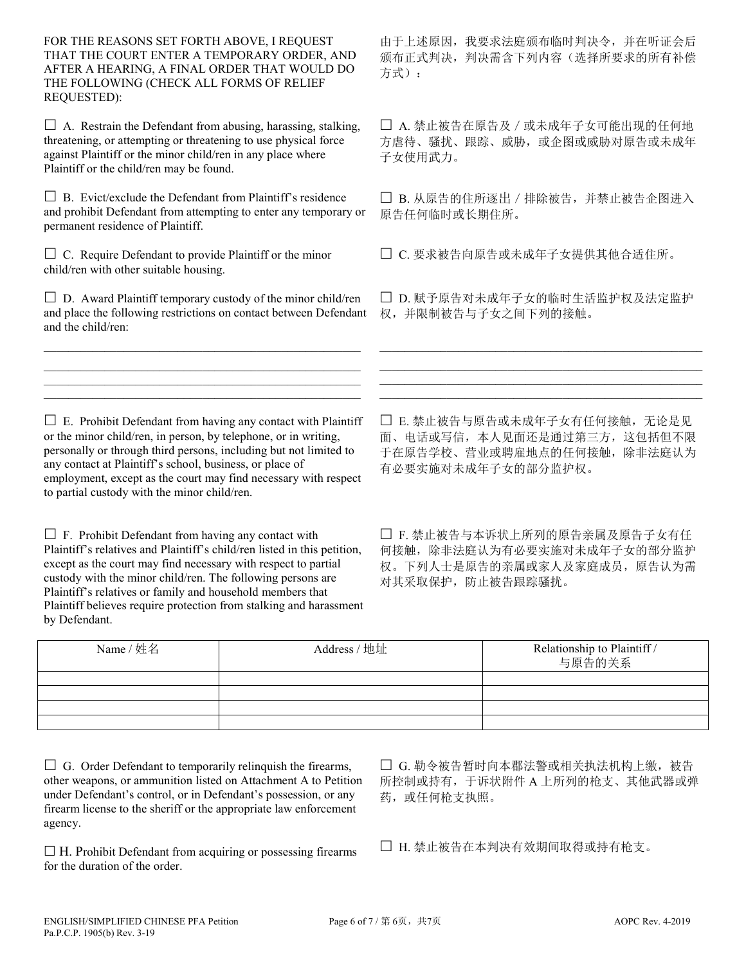FOR THE REASONS SET FORTH ABOVE, I REQUEST THAT THE COURT ENTER A TEMPORARY ORDER, AND AFTER A HEARING, A FINAL ORDER THAT WOULD DO THE FOLLOWING (CHECK ALL FORMS OF RELIEF REQUESTED):

 $\Box$  A. Restrain the Defendant from abusing, harassing, stalking, threatening, or attempting or threatening to use physical force against Plaintiff or the minor child/ren in any place where Plaintiff or the child/ren may be found.

 $\Box$  B. Evict/exclude the Defendant from Plaintiff's residence and prohibit Defendant from attempting to enter any temporary or permanent residence of Plaintiff.

 $\Box$  C. Require Defendant to provide Plaintiff or the minor child/ren with other suitable housing.

 $\square$  D. Award Plaintiff temporary custody of the minor child/ren and place the following restrictions on contact between Defendant and the child/ren:

 $\mathcal{L}_\text{max}$  and  $\mathcal{L}_\text{max}$  and  $\mathcal{L}_\text{max}$  and  $\mathcal{L}_\text{max}$  and  $\mathcal{L}_\text{max}$ \_\_\_\_\_\_\_\_\_\_\_\_\_\_\_\_\_\_\_\_\_\_\_\_\_\_\_\_\_\_\_\_\_\_\_\_\_\_\_\_\_\_\_\_\_\_\_\_\_\_\_\_  $\mathcal{L}_\text{max}$  and  $\mathcal{L}_\text{max}$  and  $\mathcal{L}_\text{max}$  and  $\mathcal{L}_\text{max}$  and  $\mathcal{L}_\text{max}$ \_\_\_\_\_\_\_\_\_\_\_\_\_\_\_\_\_\_\_\_\_\_\_\_\_\_\_\_\_\_\_\_\_\_\_\_\_\_\_\_\_\_\_\_\_\_\_\_\_\_\_\_

由于上述原因,我要求法庭颁布临时判决令,并在听证会后 颁布正式判决,判决需含下列内容(选择所要求的所有补偿 方式):

 A. 禁止被告在原告及/或未成年子女可能出现的任何地 方虐待、骚扰、跟踪、威胁,或企图或威胁对原告或未成年 子女使用武力。

□ B. 从原告的住所逐出 / 排除被告, 并禁止被告企图进入 原告任何临时或长期住所。

C. 要求被告向原告或未成年子女提供其他合适住所。

□ D. 赋予原告对未成年子女的临时生活监护权及法定监护 权,并限制被告与子女之间下列的接触。

\_\_\_\_\_\_\_\_\_\_\_\_\_\_\_\_\_\_\_\_\_\_\_\_\_\_\_\_\_\_\_\_\_\_\_\_\_\_\_\_\_\_\_\_\_\_\_\_\_\_\_\_\_  $\mathcal{L}_\text{max}$  and  $\mathcal{L}_\text{max}$  and  $\mathcal{L}_\text{max}$  and  $\mathcal{L}_\text{max}$  and  $\mathcal{L}_\text{max}$  and  $\mathcal{L}_\text{max}$ \_\_\_\_\_\_\_\_\_\_\_\_\_\_\_\_\_\_\_\_\_\_\_\_\_\_\_\_\_\_\_\_\_\_\_\_\_\_\_\_\_\_\_\_\_\_\_\_\_\_\_\_\_  $\mathcal{L}_\text{max}$  and  $\mathcal{L}_\text{max}$  and  $\mathcal{L}_\text{max}$  and  $\mathcal{L}_\text{max}$  and  $\mathcal{L}_\text{max}$  and  $\mathcal{L}_\text{max}$ 

 $\square$  E. Prohibit Defendant from having any contact with Plaintiff or the minor child/ren, in person, by telephone, or in writing, personally or through third persons, including but not limited to any contact at Plaintiff's school, business, or place of employment, except as the court may find necessary with respect to partial custody with the minor child/ren.

 $\Box$  F. Prohibit Defendant from having any contact with Plaintiff's relatives and Plaintiff's child/ren listed in this petition, except as the court may find necessary with respect to partial custody with the minor child/ren. The following persons are Plaintiff's relatives or family and household members that Plaintiff believes require protection from stalking and harassment by Defendant.

□ E. 禁止被告与原告或未成年子女有任何接触,无论是见 面、电话或写信,本人见面还是通过第三方,这包括但不限 于在原告学校、营业或聘雇地点的任何接触,除非法庭认为 有必要实施对未成年子女的部分监护权。

□ F. 禁止被告与本诉状上所列的原告亲属及原告子女有任 何接触,除非法庭认为有必要实施对未成年子女的部分监护 权。下列人士是原告的亲属或家人及家庭成员,原告认为需 对其采取保护,防止被告跟踪骚扰。

| Name / 姓名 | Address / 地址 | Relationship to Plaintiff /<br>与原告的关系 |
|-----------|--------------|---------------------------------------|
|           |              |                                       |
|           |              |                                       |
|           |              |                                       |
|           |              |                                       |

 $\Box$  G. Order Defendant to temporarily relinquish the firearms, other weapons, or ammunition listed on Attachment A to Petition under Defendant's control, or in Defendant's possession, or any firearm license to the sheriff or the appropriate law enforcement agency.

 $\Box$  H. Prohibit Defendant from acquiring or possessing firearms for the duration of the order.

□ G. 勒令被告暂时向本郡法警或相关执法机构上缴, 被告 所控制或持有,于诉状附件 A 上所列的枪支、其他武器或弹 药, 或任何枪支执照。

□ H. 禁止被告在本判决有效期间取得或持有枪支。